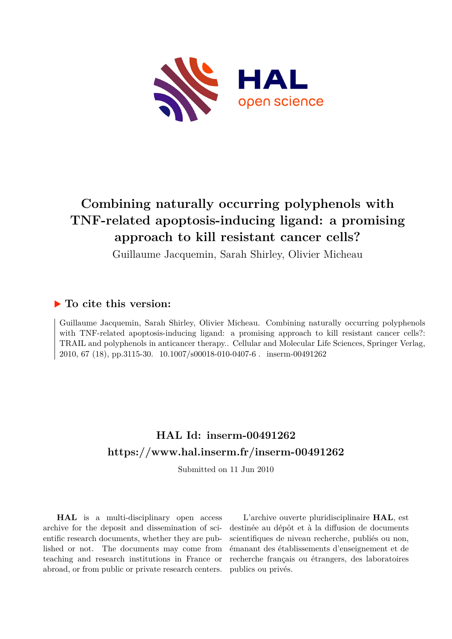

## **Combining naturally occurring polyphenols with TNF-related apoptosis-inducing ligand: a promising approach to kill resistant cancer cells?**

Guillaume Jacquemin, Sarah Shirley, Olivier Micheau

## **To cite this version:**

Guillaume Jacquemin, Sarah Shirley, Olivier Micheau. Combining naturally occurring polyphenols with TNF-related apoptosis-inducing ligand: a promising approach to kill resistant cancer cells?: TRAIL and polyphenols in anticancer therapy.. Cellular and Molecular Life Sciences, Springer Verlag, 2010, 67 (18), pp.3115-30. 10.1007/s00018-010-0407-6 mserm-00491262

## **HAL Id: inserm-00491262 <https://www.hal.inserm.fr/inserm-00491262>**

Submitted on 11 Jun 2010

**HAL** is a multi-disciplinary open access archive for the deposit and dissemination of scientific research documents, whether they are published or not. The documents may come from teaching and research institutions in France or abroad, or from public or private research centers.

L'archive ouverte pluridisciplinaire **HAL**, est destinée au dépôt et à la diffusion de documents scientifiques de niveau recherche, publiés ou non, émanant des établissements d'enseignement et de recherche français ou étrangers, des laboratoires publics ou privés.